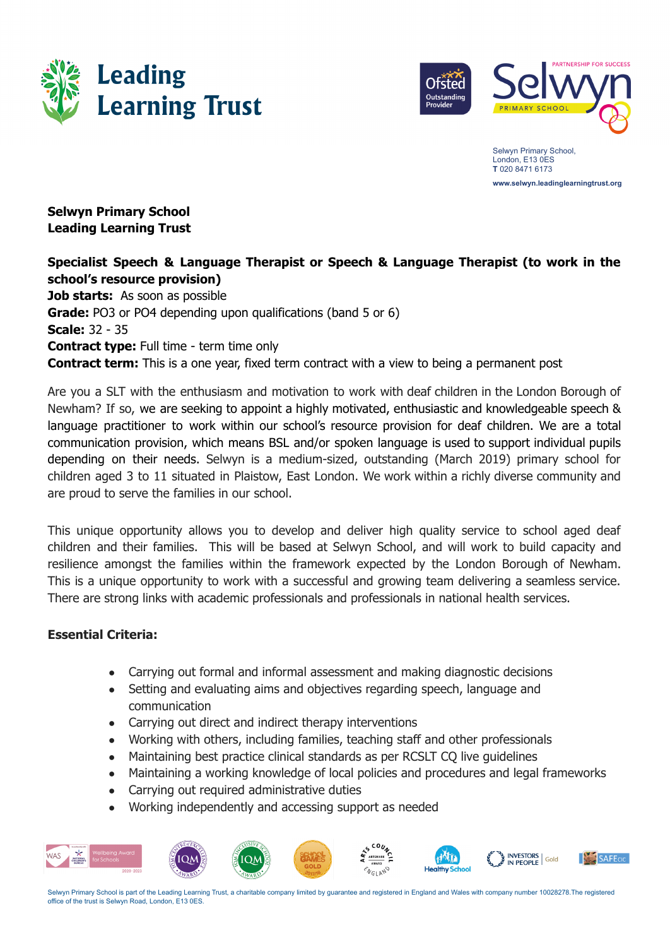



Selwyn Primary School, London, E13 0ES **T** 020 8471 6173 **www.selwyn.leadinglearningtrust.org**

## **Selwyn Primary School Leading Learning Trust**

# **Specialist Speech & Language Therapist or Speech & Language Therapist (to work in the school's resource provision)**

**Job starts:** As soon as possible **Grade:** PO3 or PO4 depending upon qualifications (band 5 or 6) **Scale:** 32 - 35 **Contract type:** Full time - term time only **Contract term:** This is a one year, fixed term contract with a view to being a permanent post

Are you a SLT with the enthusiasm and motivation to work with deaf children in the London Borough of Newham? If so, we are seeking to appoint a highly motivated, enthusiastic and knowledgeable speech & language practitioner to work within our school's resource provision for deaf children. We are a total communication provision, which means BSL and/or spoken language is used to support individual pupils depending on their needs. Selwyn is a medium-sized, outstanding (March 2019) primary school for children aged 3 to 11 situated in Plaistow, East London. We work within a richly diverse community and are proud to serve the families in our school.

This unique opportunity allows you to develop and deliver high quality service to school aged deaf children and their families. This will be based at Selwyn School, and will work to build capacity and resilience amongst the families within the framework expected by the London Borough of Newham. This is a unique opportunity to work with a successful and growing team delivering a seamless service. There are strong links with academic professionals and professionals in national health services.

### **Essential Criteria:**

- Carrying out formal and informal assessment and making diagnostic decisions
- Setting and evaluating aims and objectives regarding speech, language and communication
- Carrying out direct and indirect therapy interventions
- Working with others, including families, teaching staff and other professionals
- Maintaining best practice clinical standards as per RCSLT CQ live quidelines
- Maintaining a working knowledge of local policies and procedures and legal frameworks
- Carrying out required administrative duties
- Working independently and accessing support as needed



Selwyn Primary School is part of the Leading Learning Trust, a charitable company limited by guarantee and registered in England and Wales with company number 10028278.The registered office of the trust is Selwyn Road, London, E13 0ES.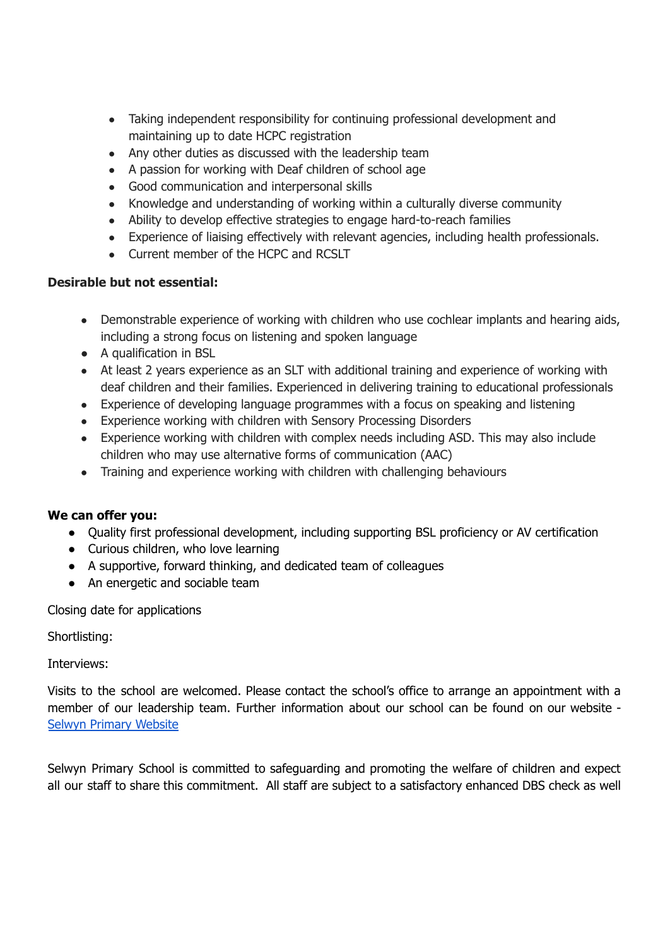- Taking independent responsibility for continuing professional development and maintaining up to date HCPC registration
- Any other duties as discussed with the leadership team
- A passion for working with Deaf children of school age
- Good communication and interpersonal skills
- Knowledge and understanding of working within a culturally diverse community
- Ability to develop effective strategies to engage hard-to-reach families
- Experience of liaising effectively with relevant agencies, including health professionals.
- Current member of the HCPC and RCSLT

#### **Desirable but not essential:**

- Demonstrable experience of working with children who use cochlear implants and hearing aids, including a strong focus on listening and spoken language
- A qualification in BSL
- At least 2 years experience as an SLT with additional training and experience of working with deaf children and their families. Experienced in delivering training to educational professionals
- Experience of developing language programmes with a focus on speaking and listening
- Experience working with children with Sensory Processing Disorders
- Experience working with children with complex needs including ASD. This may also include children who may use alternative forms of communication (AAC)
- Training and experience working with children with challenging behaviours

### **We can offer you:**

- Quality first professional development, including supporting BSL proficiency or AV certification
- Curious children, who love learning
- A supportive, forward thinking, and dedicated team of colleagues
- An energetic and sociable team

Closing date for applications

Shortlisting:

Interviews:

Visits to the school are welcomed. Please contact the school's office to arrange an appointment with a member of our leadership team. Further information about our school can be found on our website - Selwyn Primary [Website](https://selwyn.leadinglearningtrust.org/)

Selwyn Primary School is committed to safeguarding and promoting the welfare of children and expect all our staff to share this commitment. All staff are subject to a satisfactory enhanced DBS check as well